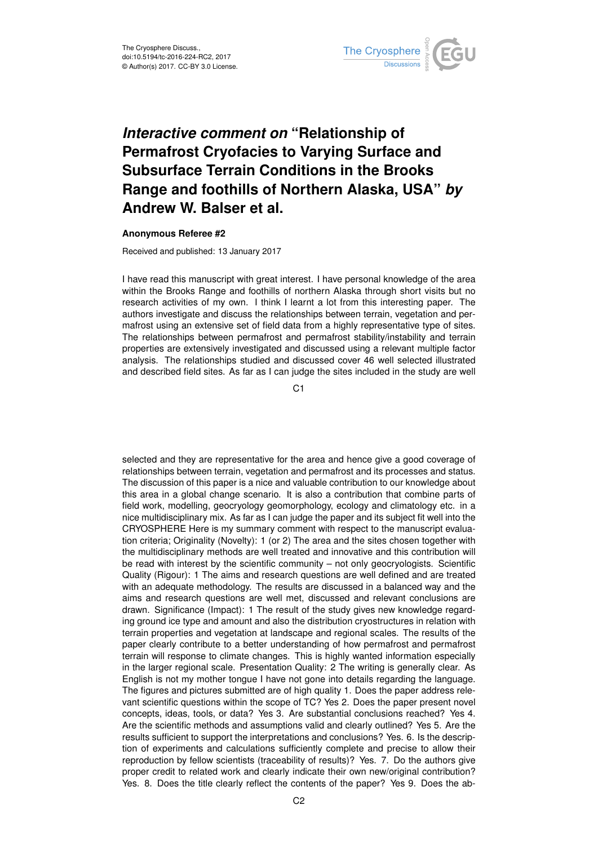

## *Interactive comment on* **"Relationship of Permafrost Cryofacies to Varying Surface and Subsurface Terrain Conditions in the Brooks Range and foothills of Northern Alaska, USA"** *by* **Andrew W. Balser et al.**

## **Anonymous Referee #2**

Received and published: 13 January 2017

I have read this manuscript with great interest. I have personal knowledge of the area within the Brooks Range and foothills of northern Alaska through short visits but no research activities of my own. I think I learnt a lot from this interesting paper. The authors investigate and discuss the relationships between terrain, vegetation and permafrost using an extensive set of field data from a highly representative type of sites. The relationships between permafrost and permafrost stability/instability and terrain properties are extensively investigated and discussed using a relevant multiple factor analysis. The relationships studied and discussed cover 46 well selected illustrated and described field sites. As far as I can judge the sites included in the study are well

C<sub>1</sub>

selected and they are representative for the area and hence give a good coverage of relationships between terrain, vegetation and permafrost and its processes and status. The discussion of this paper is a nice and valuable contribution to our knowledge about this area in a global change scenario. It is also a contribution that combine parts of field work, modelling, geocryology geomorphology, ecology and climatology etc. in a nice multidisciplinary mix. As far as I can judge the paper and its subject fit well into the CRYOSPHERE Here is my summary comment with respect to the manuscript evaluation criteria; Originality (Novelty): 1 (or 2) The area and the sites chosen together with the multidisciplinary methods are well treated and innovative and this contribution will be read with interest by the scientific community – not only geocryologists. Scientific Quality (Rigour): 1 The aims and research questions are well defined and are treated with an adequate methodology. The results are discussed in a balanced way and the aims and research questions are well met, discussed and relevant conclusions are drawn. Significance (Impact): 1 The result of the study gives new knowledge regarding ground ice type and amount and also the distribution cryostructures in relation with terrain properties and vegetation at landscape and regional scales. The results of the paper clearly contribute to a better understanding of how permafrost and permafrost terrain will response to climate changes. This is highly wanted information especially in the larger regional scale. Presentation Quality: 2 The writing is generally clear. As English is not my mother tongue I have not gone into details regarding the language. The figures and pictures submitted are of high quality 1. Does the paper address relevant scientific questions within the scope of TC? Yes 2. Does the paper present novel concepts, ideas, tools, or data? Yes 3. Are substantial conclusions reached? Yes 4. Are the scientific methods and assumptions valid and clearly outlined? Yes 5. Are the results sufficient to support the interpretations and conclusions? Yes. 6. Is the description of experiments and calculations sufficiently complete and precise to allow their reproduction by fellow scientists (traceability of results)? Yes. 7. Do the authors give proper credit to related work and clearly indicate their own new/original contribution? Yes. 8. Does the title clearly reflect the contents of the paper? Yes 9. Does the ab